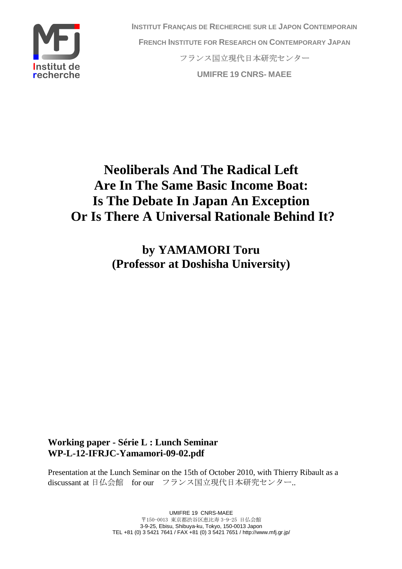

**INSTITUT FRANÇAIS DE RECHERCHE SUR LE JAPON CONTEMPORAIN FRENCH INSTITUTE FOR RESEARCH ON CONTEMPORARY JAPAN** フランス国立現代日本研究センター **UMIFRE 19 CNRS- MAEE** 

# **Neoliberals And The Radical Left Are In The Same Basic Income Boat: Is The Debate In Japan An Exception Or Is There A Universal Rationale Behind It?**

**by YAMAMORI Toru (Professor at Doshisha University)** 

**Working paper - Série L : Lunch Seminar WP-L-12-IFRJC-Yamamori-09-02.pdf** 

Presentation at the Lunch Seminar on the 15th of October 2010, with Thierry Ribault as a discussant at 日仏会館 for our フランス国立現代日本研究センター..

> UMIFRE 19 CNRS-MAEE 〒150-0013 東京都渋谷区恵比寿 3-9-25 日仏会館 3-9-25, Ebisu, Shibuya-ku, Tokyo, 150-0013 Japon TEL +81 (0) 3 5421 7641 / FAX +81 (0) 3 5421 7651 / http://www.mfj.gr.jp/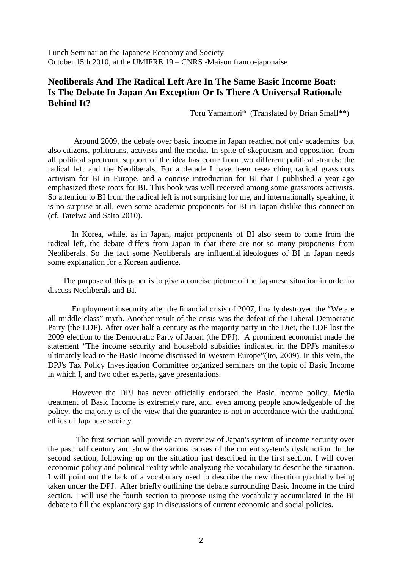Lunch Seminar on the Japanese Economy and Society October 15th 2010, at the UMIFRE 19 – CNRS -Maison franco-japonaise

## **Neoliberals And The Radical Left Are In The Same Basic Income Boat: Is The Debate In Japan An Exception Or Is There A Universal Rationale Behind It?**

Toru Yamamori\* (Translated by Brian Small\*\*)

 Around 2009, the debate over basic income in Japan reached not only academics but also citizens, politicians, activists and the media. In spite of skepticism and opposition from all political spectrum, support of the idea has come from two different political strands: the radical left and the Neoliberals. For a decade I have been researching radical grassroots activism for BI in Europe, and a concise introduction for BI that I published a year ago emphasized these roots for BI. This book was well received among some grassroots activists. So attention to BI from the radical left is not surprising for me, and internationally speaking, it is no surprise at all, even some academic proponents for BI in Japan dislike this connection (cf. Tateiwa and Saito 2010).

 In Korea, while, as in Japan, major proponents of BI also seem to come from the radical left, the debate differs from Japan in that there are not so many proponents from Neoliberals. So the fact some Neoliberals are influential ideologues of BI in Japan needs some explanation for a Korean audience.

 The purpose of this paper is to give a concise picture of the Japanese situation in order to discuss Neoliberals and BI.

 Employment insecurity after the financial crisis of 2007, finally destroyed the "We are all middle class" myth. Another result of the crisis was the defeat of the Liberal Democratic Party (the LDP). After over half a century as the majority party in the Diet, the LDP lost the 2009 election to the Democratic Party of Japan (the DPJ). A prominent economist made the statement "The income security and household subsidies indicated in the DPJ's manifesto ultimately lead to the Basic Income discussed in Western Europe"(Ito, 2009). In this vein, the DPJ's Tax Policy Investigation Committee organized seminars on the topic of Basic Income in which I, and two other experts, gave presentations.

 However the DPJ has never officially endorsed the Basic Income policy. Media treatment of Basic Income is extremely rare, and, even among people knowledgeable of the policy, the majority is of the view that the guarantee is not in accordance with the traditional ethics of Japanese society.

The first section will provide an overview of Japan's system of income security over the past half century and show the various causes of the current system's dysfunction. In the second section, following up on the situation just described in the first section, I will cover economic policy and political reality while analyzing the vocabulary to describe the situation. I will point out the lack of a vocabulary used to describe the new direction gradually being taken under the DPJ. After briefly outlining the debate surrounding Basic Income in the third section, I will use the fourth section to propose using the vocabulary accumulated in the BI debate to fill the explanatory gap in discussions of current economic and social policies.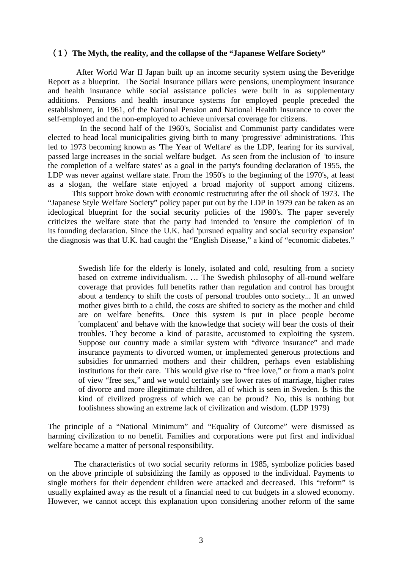#### (1)**The Myth, the reality, and the collapse of the "Japanese Welfare Society"**

After World War II Japan built up an income security system using the Beveridge Report as a blueprint. The Social Insurance pillars were pensions, unemployment insurance and health insurance while social assistance policies were built in as supplementary additions. Pensions and health insurance systems for employed people preceded the establishment, in 1961, of the National Pension and National Health Insurance to cover the self-employed and the non-employed to achieve universal coverage for citizens.

In the second half of the 1960's, Socialist and Communist party candidates were elected to head local municipalities giving birth to many 'progressive' administrations. This led to 1973 becoming known as 'The Year of Welfare' as the LDP, fearing for its survival, passed large increases in the social welfare budget. As seen from the inclusion of 'to insure the completion of a welfare states' as a goal in the party's founding declaration of 1955, the LDP was never against welfare state. From the 1950's to the beginning of the 1970's, at least as a slogan, the welfare state enjoyed a broad majority of support among citizens.

 This support broke down with economic restructuring after the oil shock of 1973. The "Japanese Style Welfare Society" policy paper put out by the LDP in 1979 can be taken as an ideological blueprint for the social security policies of the 1980's. The paper severely criticizes the welfare state that the party had intended to 'ensure the completion' of in its founding declaration. Since the U.K. had 'pursued equality and social security expansion' the diagnosis was that U.K. had caught the "English Disease," a kind of "economic diabetes."

Swedish life for the elderly is lonely, isolated and cold, resulting from a society based on extreme individualism. … The Swedish philosophy of all-round welfare coverage that provides full benefits rather than regulation and control has brought about a tendency to shift the costs of personal troubles onto society... If an unwed mother gives birth to a child, the costs are shifted to society as the mother and child are on welfare benefits. Once this system is put in place people become 'complacent' and behave with the knowledge that society will bear the costs of their troubles. They become a kind of parasite, accustomed to exploiting the system. Suppose our country made a similar system with "divorce insurance" and made insurance payments to divorced women, or implemented generous protections and subsidies for unmarried mothers and their children, perhaps even establishing institutions for their care. This would give rise to "free love," or from a man's point of view "free sex," and we would certainly see lower rates of marriage, higher rates of divorce and more illegitimate children, all of which is seen in Sweden. Is this the kind of civilized progress of which we can be proud? No, this is nothing but foolishness showing an extreme lack of civilization and wisdom. (LDP 1979)

The principle of a "National Minimum" and "Equality of Outcome" were dismissed as harming civilization to no benefit. Families and corporations were put first and individual welfare became a matter of personal responsibility.

 The characteristics of two social security reforms in 1985, symbolize policies based on the above principle of subsidizing the family as opposed to the individual. Payments to single mothers for their dependent children were attacked and decreased. This "reform" is usually explained away as the result of a financial need to cut budgets in a slowed economy. However, we cannot accept this explanation upon considering another reform of the same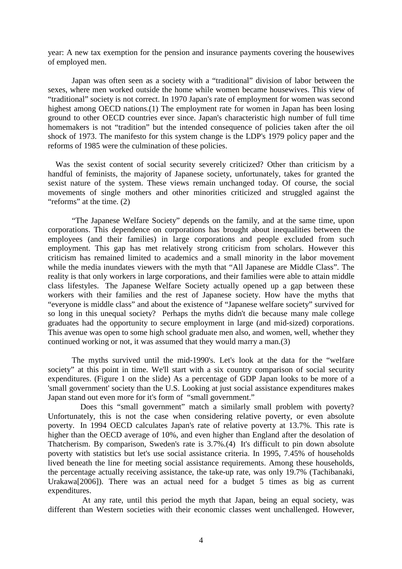year: A new tax exemption for the pension and insurance payments covering the housewives of employed men.

 Japan was often seen as a society with a "traditional" division of labor between the sexes, where men worked outside the home while women became housewives. This view of "traditional" society is not correct. In 1970 Japan's rate of employment for women was second highest among OECD nations.(1) The employment rate for women in Japan has been losing ground to other OECD countries ever since. Japan's characteristic high number of full time homemakers is not "tradition" but the intended consequence of policies taken after the oil shock of 1973. The manifesto for this system change is the LDP's 1979 policy paper and the reforms of 1985 were the culmination of these policies.

 Was the sexist content of social security severely criticized? Other than criticism by a handful of feminists, the majority of Japanese society, unfortunately, takes for granted the sexist nature of the system. These views remain unchanged today. Of course, the social movements of single mothers and other minorities criticized and struggled against the "reforms" at the time. (2)

 "The Japanese Welfare Society" depends on the family, and at the same time, upon corporations. This dependence on corporations has brought about inequalities between the employees (and their families) in large corporations and people excluded from such employment. This gap has met relatively strong criticism from scholars. However this criticism has remained limited to academics and a small minority in the labor movement while the media inundates viewers with the myth that "All Japanese are Middle Class". The reality is that only workers in large corporations, and their families were able to attain middle class lifestyles. The Japanese Welfare Society actually opened up a gap between these workers with their families and the rest of Japanese society. How have the myths that "everyone is middle class" and about the existence of "Japanese welfare society" survived for so long in this unequal society? Perhaps the myths didn't die because many male college graduates had the opportunity to secure employment in large (and mid-sized) corporations. This avenue was open to some high school graduate men also, and women, well, whether they continued working or not, it was assumed that they would marry a man.(3)

 The myths survived until the mid-1990's. Let's look at the data for the "welfare society" at this point in time. We'll start with a six country comparison of social security expenditures. (Figure 1 on the slide) As a percentage of GDP Japan looks to be more of a 'small government' society than the U.S. Looking at just social assistance expenditures makes Japan stand out even more for it's form of "small government."

Does this "small government" match a similarly small problem with poverty? Unfortunately, this is not the case when considering relative poverty, or even absolute poverty. In 1994 OECD calculates Japan's rate of relative poverty at 13.7%. This rate is higher than the OECD average of 10%, and even higher than England after the desolation of Thatcherism. By comparison, Sweden's rate is 3.7%.(4) It's difficult to pin down absolute poverty with statistics but let's use social assistance criteria. In 1995, 7.45% of households lived beneath the line for meeting social assistance requirements. Among these households, the percentage actually receiving assistance, the take-up rate, was only 19.7% (Tachibanaki, Urakawa[2006]). There was an actual need for a budget 5 times as big as current expenditures.

 At any rate, until this period the myth that Japan, being an equal society, was different than Western societies with their economic classes went unchallenged. However,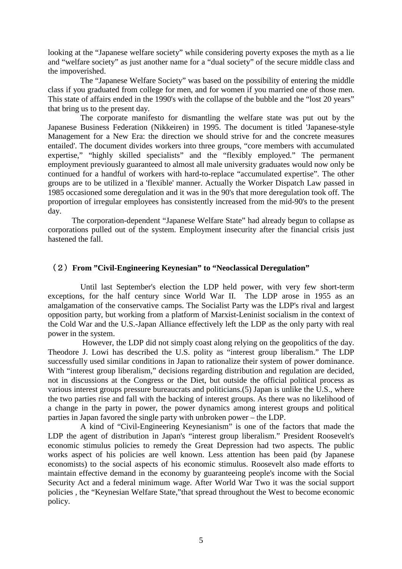looking at the "Japanese welfare society" while considering poverty exposes the myth as a lie and "welfare society" as just another name for a "dual society" of the secure middle class and the impoverished.

The "Japanese Welfare Society" was based on the possibility of entering the middle class if you graduated from college for men, and for women if you married one of those men. This state of affairs ended in the 1990's with the collapse of the bubble and the "lost 20 years" that bring us to the present day.

The corporate manifesto for dismantling the welfare state was put out by the Japanese Business Federation (Nikkeiren) in 1995. The document is titled 'Japanese-style Management for a New Era: the direction we should strive for and the concrete measures entailed'. The document divides workers into three groups, "core members with accumulated expertise," "highly skilled specialists" and the "flexibly employed." The permanent employment previously guaranteed to almost all male university graduates would now only be continued for a handful of workers with hard-to-replace "accumulated expertise". The other groups are to be utilized in a 'flexible' manner. Actually the Worker Dispatch Law passed in 1985 occasioned some deregulation and it was in the 90's that more deregulation took off. The proportion of irregular employees has consistently increased from the mid-90's to the present day.

 The corporation-dependent "Japanese Welfare State" had already begun to collapse as corporations pulled out of the system. Employment insecurity after the financial crisis just hastened the fall.

### (2)**From "Civil-Engineering Keynesian" to "Neoclassical Deregulation"**

Until last September's election the LDP held power, with very few short-term exceptions, for the half century since World War II. The LDP arose in 1955 as an amalgamation of the conservative camps. The Socialist Party was the LDP's rival and largest opposition party, but working from a platform of Marxist-Leninist socialism in the context of the Cold War and the U.S.-Japan Alliance effectively left the LDP as the only party with real power in the system.

 However, the LDP did not simply coast along relying on the geopolitics of the day. Theodore J. Lowi has described the U.S. polity as "interest group liberalism." The LDP successfully used similar conditions in Japan to rationalize their system of power dominance. With "interest group liberalism," decisions regarding distribution and regulation are decided, not in discussions at the Congress or the Diet, but outside the official political process as various interest groups pressure bureaucrats and politicians.(5) Japan is unlike the U.S., where the two parties rise and fall with the backing of interest groups. As there was no likelihood of a change in the party in power, the power dynamics among interest groups and political parties in Japan favored the single party with unbroken power – the LDP.

A kind of "Civil-Engineering Keynesianism" is one of the factors that made the LDP the agent of distribution in Japan's "interest group liberalism." President Roosevelt's economic stimulus policies to remedy the Great Depression had two aspects. The public works aspect of his policies are well known. Less attention has been paid (by Japanese economists) to the social aspects of his economic stimulus. Roosevelt also made efforts to maintain effective demand in the economy by guaranteeing people's income with the Social Security Act and a federal minimum wage. After World War Two it was the social support policies , the "Keynesian Welfare State,"that spread throughout the West to become economic policy.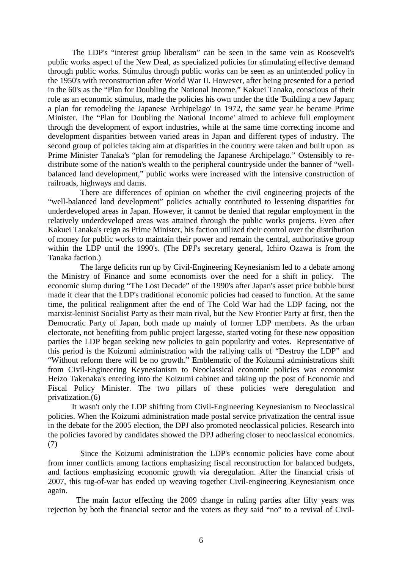The LDP's "interest group liberalism" can be seen in the same vein as Roosevelt's public works aspect of the New Deal, as specialized policies for stimulating effective demand through public works. Stimulus through public works can be seen as an unintended policy in the 1950's with reconstruction after World War II. However, after being presented for a period in the 60's as the "Plan for Doubling the National Income," Kakuei Tanaka, conscious of their role as an economic stimulus, made the policies his own under the title 'Building a new Japan; a plan for remodeling the Japanese Archipelago' in 1972, the same year he became Prime Minister. The "Plan for Doubling the National Income' aimed to achieve full employment through the development of export industries, while at the same time correcting income and development disparities between varied areas in Japan and different types of industry. The second group of policies taking aim at disparities in the country were taken and built upon as Prime Minister Tanaka's "plan for remodeling the Japanese Archipelago." Ostensibly to redistribute some of the nation's wealth to the peripheral countryside under the banner of "wellbalanced land development," public works were increased with the intensive construction of railroads, highways and dams.

 There are differences of opinion on whether the civil engineering projects of the "well-balanced land development" policies actually contributed to lessening disparities for underdeveloped areas in Japan. However, it cannot be denied that regular employment in the relatively underdeveloped areas was attained through the public works projects. Even after Kakuei Tanaka's reign as Prime Minister, his faction utilized their control over the distribution of money for public works to maintain their power and remain the central, authoritative group within the LDP until the 1990's. (The DPJ's secretary general, Ichiro Ozawa is from the Tanaka faction.)

The large deficits run up by Civil-Engineering Keynesianism led to a debate among the Ministry of Finance and some economists over the need for a shift in policy. The economic slump during "The Lost Decade" of the 1990's after Japan's asset price bubble burst made it clear that the LDP's traditional economic policies had ceased to function. At the same time, the political realignment after the end of The Cold War had the LDP facing, not the marxist-leninist Socialist Party as their main rival, but the New Frontier Party at first, then the Democratic Party of Japan, both made up mainly of former LDP members. As the urban electorate, not benefiting from public project largesse, started voting for these new opposition parties the LDP began seeking new policies to gain popularity and votes. Representative of this period is the Koizumi administration with the rallying calls of "Destroy the LDP" and "Without reform there will be no growth." Emblematic of the Koizumi administrations shift from Civil-Engineering Keynesianism to Neoclassical economic policies was economist Heizo Takenaka's entering into the Koizumi cabinet and taking up the post of Economic and Fiscal Policy Minister. The two pillars of these policies were deregulation and privatization.(6)

 It wasn't only the LDP shifting from Civil-Engineering Keynesianism to Neoclassical policies. When the Koizumi administration made postal service privatization the central issue in the debate for the 2005 election, the DPJ also promoted neoclassical policies. Research into the policies favored by candidates showed the DPJ adhering closer to neoclassical economics. (7)

Since the Koizumi administration the LDP's economic policies have come about from inner conflicts among factions emphasizing fiscal reconstruction for balanced budgets, and factions emphasizing economic growth via deregulation. After the financial crisis of 2007, this tug-of-war has ended up weaving together Civil-engineering Keynesianism once again.

The main factor effecting the 2009 change in ruling parties after fifty years was rejection by both the financial sector and the voters as they said "no" to a revival of Civil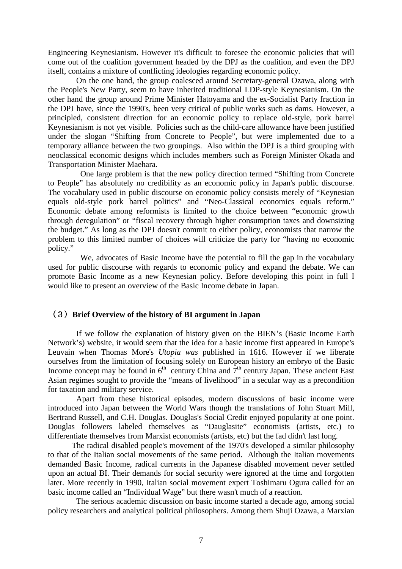Engineering Keynesianism. However it's difficult to foresee the economic policies that will come out of the coalition government headed by the DPJ as the coalition, and even the DPJ itself, contains a mixture of conflicting ideologies regarding economic policy.

On the one hand, the group coalesced around Secretary-general Ozawa, along with the People's New Party, seem to have inherited traditional LDP-style Keynesianism. On the other hand the group around Prime Minister Hatoyama and the ex-Socialist Party fraction in the DPJ have, since the 1990's, been very critical of public works such as dams. However, a principled, consistent direction for an economic policy to replace old-style, pork barrel Keynesianism is not yet visible. Policies such as the child-care allowance have been justified under the slogan "Shifting from Concrete to People", but were implemented due to a temporary alliance between the two groupings. Also within the DPJ is a third grouping with neoclassical economic designs which includes members such as Foreign Minister Okada and Transportation Minister Maehara.

 One large problem is that the new policy direction termed "Shifting from Concrete to People" has absolutely no credibility as an economic policy in Japan's public discourse. The vocabulary used in public discourse on economic policy consists merely of "Keynesian equals old-style pork barrel politics" and "Neo-Classical economics equals reform." Economic debate among reformists is limited to the choice between "economic growth through deregulation" or "fiscal recovery through higher consumption taxes and downsizing the budget." As long as the DPJ doesn't commit to either policy, economists that narrow the problem to this limited number of choices will criticize the party for "having no economic policy."

We, advocates of Basic Income have the potential to fill the gap in the vocabulary used for public discourse with regards to economic policy and expand the debate. We can promote Basic Income as a new Keynesian policy. Before developing this point in full I would like to present an overview of the Basic Income debate in Japan.

#### (3)**Brief Overview of the history of BI argument in Japan**

If we follow the explanation of history given on the BIEN's (Basic Income Earth Network's) website, it would seem that the idea for a basic income first appeared in Europe's Leuvain when Thomas More's *Utopia was* published in 1616. However if we liberate ourselves from the limitation of focusing solely on European history an embryo of the Basic Income concept may be found in  $6<sup>th</sup>$  century China and  $7<sup>th</sup>$  century Japan. These ancient East Asian regimes sought to provide the "means of livelihood" in a secular way as a precondition for taxation and military service.

Apart from these historical episodes, modern discussions of basic income were introduced into Japan between the World Wars though the translations of John Stuart Mill, Bertrand Russell, and C.H. Douglas. Douglas's Social Credit enjoyed popularity at one point. Douglas followers labeled themselves as "Dauglasite" economists (artists, etc.) to differentiate themselves from Marxist economists (artists, etc) but the fad didn't last long.

 The radical disabled people's movement of the 1970's developed a similar philosophy to that of the Italian social movements of the same period. Although the Italian movements demanded Basic Income, radical currents in the Japanese disabled movement never settled upon an actual BI. Their demands for social security were ignored at the time and forgotten later. More recently in 1990, Italian social movement expert Toshimaru Ogura called for an basic income called an "Individual Wage" but there wasn't much of a reaction.

The serious academic discussion on basic income started a decade ago, among social policy researchers and analytical political philosophers. Among them Shuji Ozawa, a Marxian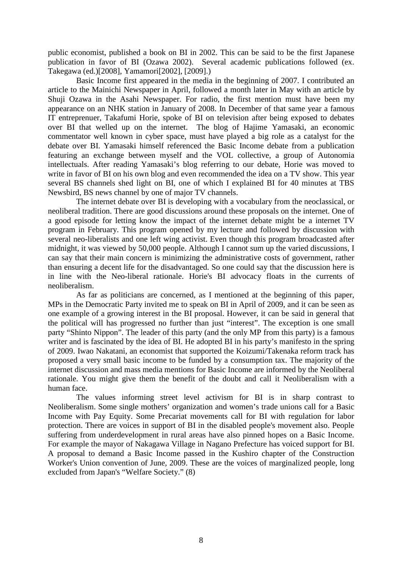public economist, published a book on BI in 2002. This can be said to be the first Japanese publication in favor of BI (Ozawa 2002). Several academic publications followed (ex. Takegawa (ed.)[2008], Yamamori[2002], [2009].)

Basic Income first appeared in the media in the beginning of 2007. I contributed an article to the Mainichi Newspaper in April, followed a month later in May with an article by Shuji Ozawa in the Asahi Newspaper. For radio, the first mention must have been my appearance on an NHK station in January of 2008. In December of that same year a famous IT entreprenuer, Takafumi Horie, spoke of BI on television after being exposed to debates over BI that welled up on the internet. The blog of Hajime Yamasaki, an economic commentator well known in cyber space, must have played a big role as a catalyst for the debate over BI. Yamasaki himself referenced the Basic Income debate from a publication featuring an exchange between myself and the VOL collective, a group of Autonomia intellectuals. After reading Yamasaki's blog referring to our debate, Horie was moved to write in favor of BI on his own blog and even recommended the idea on a TV show. This year several BS channels shed light on BI, one of which I explained BI for 40 minutes at TBS Newsbird, BS news channel by one of major TV channels.

The internet debate over BI is developing with a vocabulary from the neoclassical, or neoliberal tradition. There are good discussions around these proposals on the internet. One of a good episode for letting know the impact of the internet debate might be a internet TV program in February. This program opened by my lecture and followed by discussion with several neo-liberalists and one left wing activist. Even though this program broadcasted after midnight, it was viewed by 50,000 people. Although I cannot sum up the varied discussions, I can say that their main concern is minimizing the administrative costs of government, rather than ensuring a decent life for the disadvantaged. So one could say that the discussion here is in line with the Neo-liberal rationale. Horie's BI advocacy floats in the currents of neoliberalism.

As far as politicians are concerned, as I mentioned at the beginning of this paper, MPs in the Democratic Party invited me to speak on BI in April of 2009, and it can be seen as one example of a growing interest in the BI proposal. However, it can be said in general that the political will has progressed no further than just "interest". The exception is one small party "Shinto Nippon". The leader of this party (and the only MP from this party) is a famous writer and is fascinated by the idea of BI. He adopted BI in his party's manifesto in the spring of 2009. Iwao Nakatani, an economist that supported the Koizumi/Takenaka reform track has proposed a very small basic income to be funded by a consumption tax. The majority of the internet discussion and mass media mentions for Basic Income are informed by the Neoliberal rationale. You might give them the benefit of the doubt and call it Neoliberalism with a human face.

The values informing street level activism for BI is in sharp contrast to Neoliberalism. Some single mothers' organization and women's trade unions call for a Basic Income with Pay Equity. Some Precariat movements call for BI with regulation for labor protection. There are voices in support of BI in the disabled people's movement also. People suffering from underdevelopment in rural areas have also pinned hopes on a Basic Income. For example the mayor of Nakagawa Village in Nagano Prefecture has voiced support for BI. A proposal to demand a Basic Income passed in the Kushiro chapter of the Construction Worker's Union convention of June, 2009. These are the voices of marginalized people, long excluded from Japan's "Welfare Society." (8)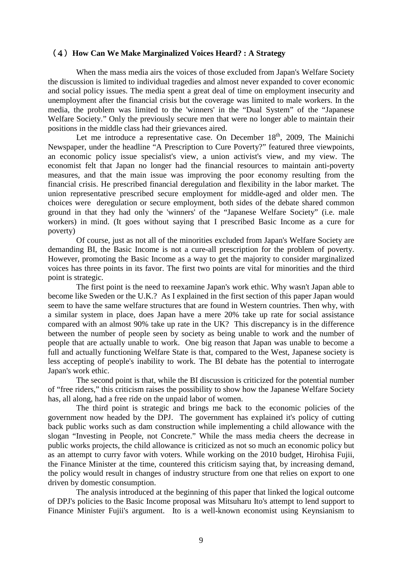#### (4)**How Can We Make Marginalized Voices Heard? : A Strategy**

When the mass media airs the voices of those excluded from Japan's Welfare Society the discussion is limited to individual tragedies and almost never expanded to cover economic and social policy issues. The media spent a great deal of time on employment insecurity and unemployment after the financial crisis but the coverage was limited to male workers. In the media, the problem was limited to the 'winners' in the "Dual System" of the "Japanese Welfare Society." Only the previously secure men that were no longer able to maintain their positions in the middle class had their grievances aired.

Let me introduce a representative case. On December  $18<sup>th</sup>$ , 2009, The Mainichi Newspaper, under the headline "A Prescription to Cure Poverty?" featured three viewpoints, an economic policy issue specialist's view, a union activist's view, and my view. The economist felt that Japan no longer had the financial resources to maintain anti-poverty measures, and that the main issue was improving the poor economy resulting from the financial crisis. He prescribed financial deregulation and flexibility in the labor market. The union representative prescribed secure employment for middle-aged and older men. The choices were deregulation or secure employment, both sides of the debate shared common ground in that they had only the 'winners' of the "Japanese Welfare Society" (i.e. male workers) in mind. (It goes without saying that I prescribed Basic Income as a cure for poverty)

Of course, just as not all of the minorities excluded from Japan's Welfare Society are demanding BI, the Basic Income is not a cure-all prescription for the problem of poverty. However, promoting the Basic Income as a way to get the majority to consider marginalized voices has three points in its favor. The first two points are vital for minorities and the third point is strategic.

The first point is the need to reexamine Japan's work ethic. Why wasn't Japan able to become like Sweden or the U.K.? As I explained in the first section of this paper Japan would seem to have the same welfare structures that are found in Western countries. Then why, with a similar system in place, does Japan have a mere 20% take up rate for social assistance compared with an almost 90% take up rate in the UK? This discrepancy is in the difference between the number of people seen by society as being unable to work and the number of people that are actually unable to work. One big reason that Japan was unable to become a full and actually functioning Welfare State is that, compared to the West, Japanese society is less accepting of people's inability to work. The BI debate has the potential to interrogate Japan's work ethic.

The second point is that, while the BI discussion is criticized for the potential number of "free riders," this criticism raises the possibility to show how the Japanese Welfare Society has, all along, had a free ride on the unpaid labor of women.

The third point is strategic and brings me back to the economic policies of the government now headed by the DPJ. The government has explained it's policy of cutting back public works such as dam construction while implementing a child allowance with the slogan "Investing in People, not Concrete." While the mass media cheers the decrease in public works projects, the child allowance is criticized as not so much an economic policy but as an attempt to curry favor with voters. While working on the 2010 budget, Hirohisa Fujii, the Finance Minister at the time, countered this criticism saying that, by increasing demand, the policy would result in changes of industry structure from one that relies on export to one driven by domestic consumption.

The analysis introduced at the beginning of this paper that linked the logical outcome of DPJ's policies to the Basic Income proposal was Mitsuharu Ito's attempt to lend support to Finance Minister Fujii's argument. Ito is a well-known economist using Keynsianism to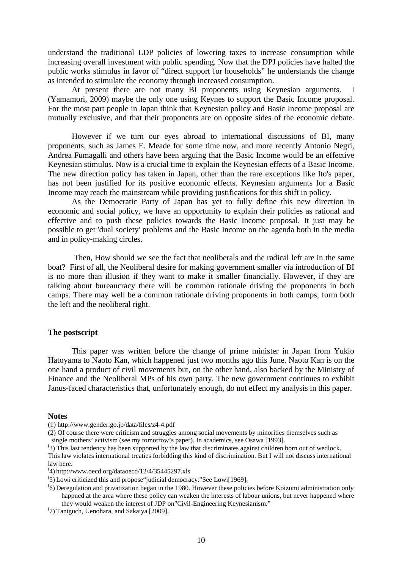understand the traditional LDP policies of lowering taxes to increase consumption while increasing overall investment with public spending. Now that the DPJ policies have halted the public works stimulus in favor of "direct support for households" he understands the change as intended to stimulate the economy through increased consumption.

 At present there are not many BI proponents using Keynesian arguments. I (Yamamori, 2009) maybe the only one using Keynes to support the Basic Income proposal. For the most part people in Japan think that Keynesian policy and Basic Income proposal are mutually exclusive, and that their proponents are on opposite sides of the economic debate.

 However if we turn our eyes abroad to international discussions of BI, many proponents, such as James E. Meade for some time now, and more recently Antonio Negri, Andrea Fumagalli and others have been arguing that the Basic Income would be an effective Keynesian stimulus. Now is a crucial time to explain the Keynesian effects of a Basic Income. The new direction policy has taken in Japan, other than the rare exceptions like Ito's paper, has not been justified for its positive economic effects. Keynesian arguments for a Basic Income may reach the mainstream while providing justifications for this shift in policy.

 As the Democratic Party of Japan has yet to fully define this new direction in economic and social policy, we have an opportunity to explain their policies as rational and effective and to push these policies towards the Basic Income proposal. It just may be possible to get 'dual society' problems and the Basic Income on the agenda both in the media and in policy-making circles.

 Then, How should we see the fact that neoliberals and the radical left are in the same boat? First of all, the Neoliberal desire for making government smaller via introduction of BI is no more than illusion if they want to make it smaller financially. However, if they are talking about bureaucracy there will be common rationale driving the proponents in both camps. There may well be a common rationale driving proponents in both camps, form both the left and the neoliberal right.

#### **The postscript**

 This paper was written before the change of prime minister in Japan from Yukio Hatoyama to Naoto Kan, which happened just two months ago this June. Naoto Kan is on the one hand a product of civil movements but, on the other hand, also backed by the Ministry of Finance and the Neoliberal MPs of his own party. The new government continues to exhibit Janus-faced characteristics that, unfortunately enough, do not effect my analysis in this paper.

#### **Notes**

(1) http://www.gender.go.jp/data/files/z4-4.pdf

(2) Of course there were criticism and struggles among social movements by minorities themselves such as single mothers' activism (see my tomorrow's paper). In academics, see Osawa [1993].

<sup>(</sup> 3) This last tendency has been supported by the law that discriminates against children born out of wedlock. This law violates international treaties forbidding this kind of discrimination. But I will not discuss international law here.

<sup>(</sup> 4) http://www.oecd.org/dataoecd/12/4/35445297.xls

<sup>(</sup> 5) Lowi criticized this and propose"judicial democracy."See Lowi[1969]。

<sup>(</sup> 6) Deregulation and privatization began in the 1980. However these policies before Koizumi administration only happned at the area where these policy can weaken the interests of labour unions, but never happened where they would weaken the interest of JDP on"Civil-Engineering Keynesianism."

<sup>(</sup> 7) Taniguch, Uenohara, and Sakaiya [2009].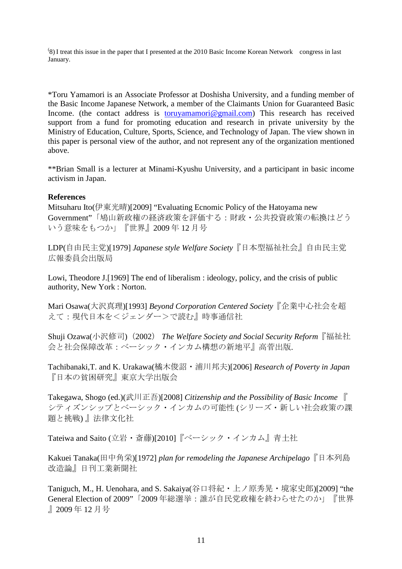( 8) I treat this issue in the paper that I presented at the 2010 Basic Income Korean Network congress in last January.

\*Toru Yamamori is an Associate Professor at Doshisha University, and a funding member of the Basic Income Japanese Network, a member of the Claimants Union for Guaranteed Basic Income. (the contact address is <u>toruyamamori@gmail.com</u>) This research has received support from a fund for promoting education and research in private university by the Ministry of Education, Culture, Sports, Science, and Technology of Japan. The view shown in this paper is personal view of the author, and not represent any of the organization mentioned above.

\*\*Brian Small is a lecturer at Minami-Kyushu University, and a participant in basic income activism in Japan.

#### **References**

Mitsuharu Ito(伊東光晴)[2009] "Evaluating Ecnomic Policy of the Hatoyama new Government"「鳩山新政権の経済政策を評価する:財政・公共投資政策の転換はどう いう意味をもつか」『世界』2009 年 12 月号

LDP(自由民主党)[1979] *Japanese style Welfare Society*『日本型福祉社会』自由民主党 広報委員会出版局

Lowi, Theodore J. [1969] The end of liberalism : ideology, policy, and the crisis of public authority, New York : Norton.

Mari Osawa(大沢真理)[1993] *Beyond Corporation Centered Society*『企業中心社会を超 えて:現代日本を<ジェンダー>で読む』時事通信社

Shuji Ozawa(小沢修司)(2002) *The Welfare Society and Social Security Reform*『福祉社 会と社会保障改革:ベーシック・インカム構想の新地平』高菅出版.

Tachibanaki,T. and K. Urakawa(橘木俊詔・浦川邦夫)[2006] *Research of Poverty in Japan* 『日本の貧困研究』東京大学出版会

Takegawa, Shogo (ed.)(武川正吾)[2008] *Citizenship and the Possibility of Basic Income* 『 シティズンシップとベーシック・インカムの可能性 (シリーズ・新しい社会政策の課 題と挑戦) 』法律文化社

Tateiwa and Saito (立岩・斎藤)[2010]『ベーシック・インカム』青土社

Kakuei Tanaka(田中角栄)[1972] *plan for remodeling the Japanese Archipelago*『日本列島 改造論』日刊工業新聞社

Taniguch, M., H. Uenohara, and S. Sakaiya(谷口将紀・上ノ原秀晃・境家史郎)[2009] "the General Election of 2009"「2009 年総選挙:誰が自民党政権を終わらせたのか」『世界 』2009 年 12 月号